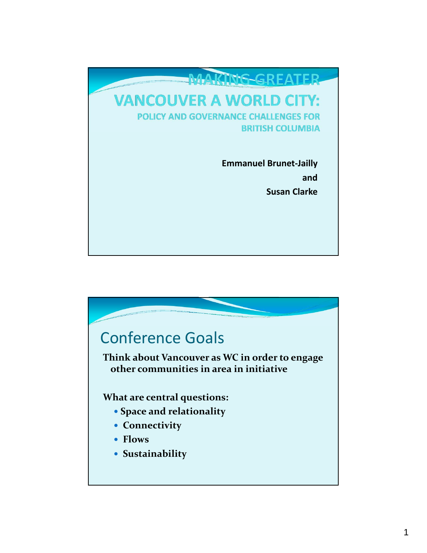

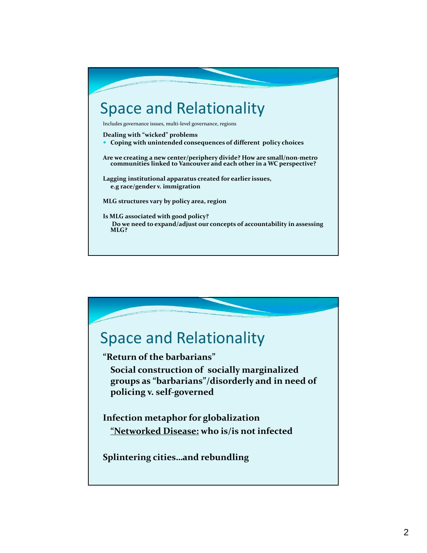

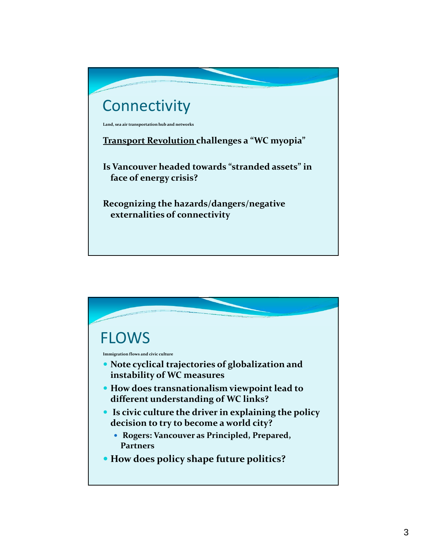

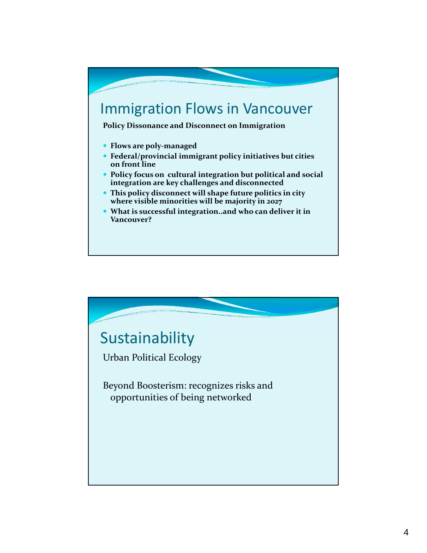## Immigration Flows in Vancouver

**Policy Dissonance and Disconnect on Immigration**

- **Flows are poly‐managed**
- **Federal/provincial immigrant policy initiatives but cities on front line**
- **Policy focus on cultural integration but political and social integration are key challenges and disconnected**
- **This policy disconnect will shape future politics in city where visible minorities will be majority in 2027**
- **What is successful integration..and who can deliver it in Vancouver?**

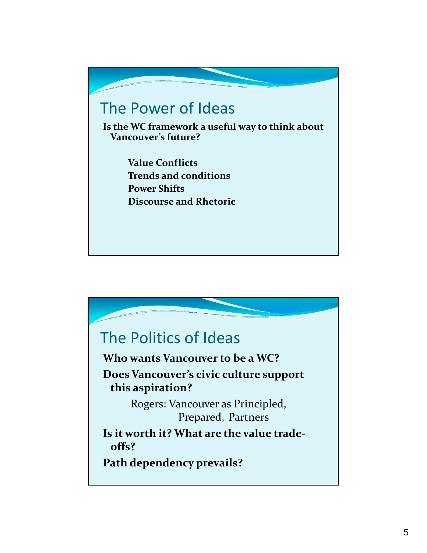## The Power of Ideas

**Is the WC framework a useful way to think about Vancouver's future?**

> **Value Conflicts Trends and conditions Power Shifts Discourse and Rhetoric**

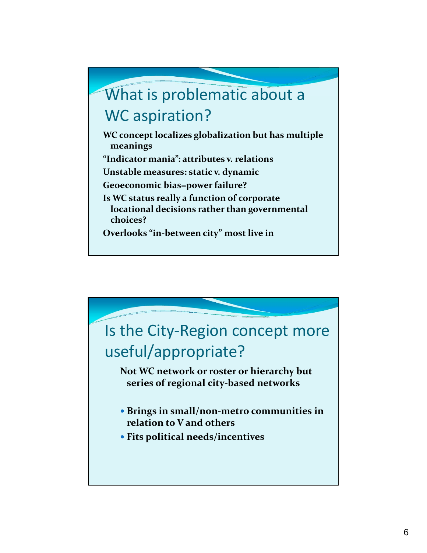## What is problematic about a WC aspiration?

**WC concept localizes globalization but has multiple meanings**

**"Indicator mania": attributes v. relations**

**Unstable measures: static v. dynamic**

**Geoeconomic bias=power failure?**

**Is WC status really a function of corporate locational decisions rather than governmental choices?**

**Overlooks "in‐between city" most live in**